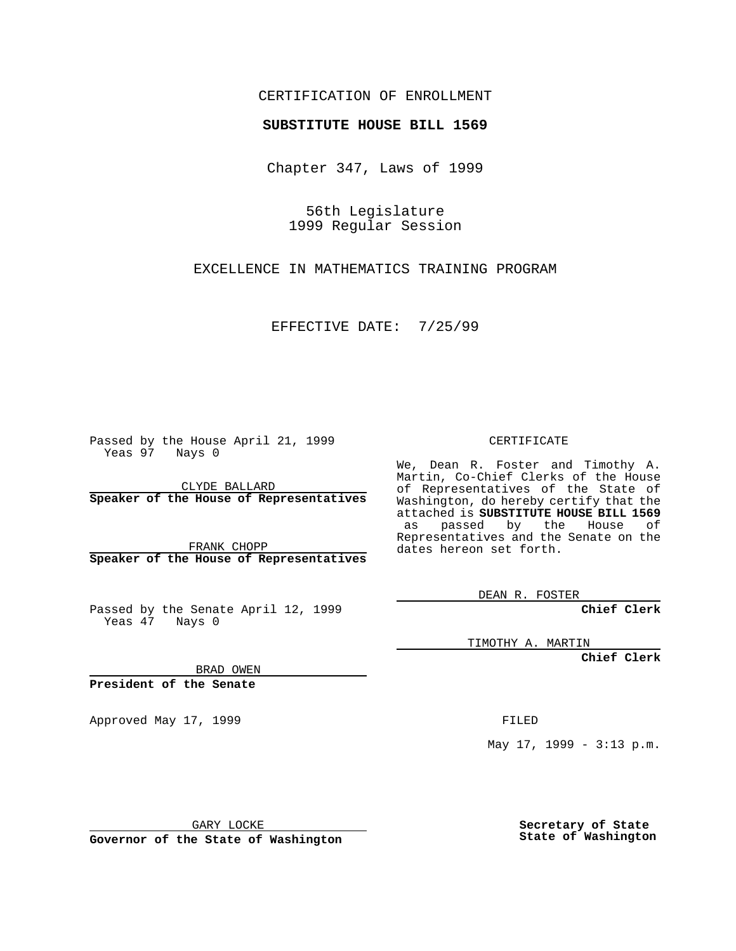#### CERTIFICATION OF ENROLLMENT

# **SUBSTITUTE HOUSE BILL 1569**

Chapter 347, Laws of 1999

56th Legislature 1999 Regular Session

EXCELLENCE IN MATHEMATICS TRAINING PROGRAM

EFFECTIVE DATE: 7/25/99

Passed by the House April 21, 1999 Yeas 97 Nays 0

CLYDE BALLARD **Speaker of the House of Representatives**

FRANK CHOPP **Speaker of the House of Representatives**

Passed by the Senate April 12, 1999 Yeas 47 Nays 0

CERTIFICATE

We, Dean R. Foster and Timothy A. Martin, Co-Chief Clerks of the House of Representatives of the State of Washington, do hereby certify that the attached is **SUBSTITUTE HOUSE BILL 1569** as passed by the House of Representatives and the Senate on the dates hereon set forth.

DEAN R. FOSTER

**Chief Clerk**

TIMOTHY A. MARTIN

**Chief Clerk**

BRAD OWEN

**President of the Senate**

Approved May 17, 1999 **FILED** 

May 17, 1999 - 3:13 p.m.

GARY LOCKE

**Governor of the State of Washington**

**Secretary of State State of Washington**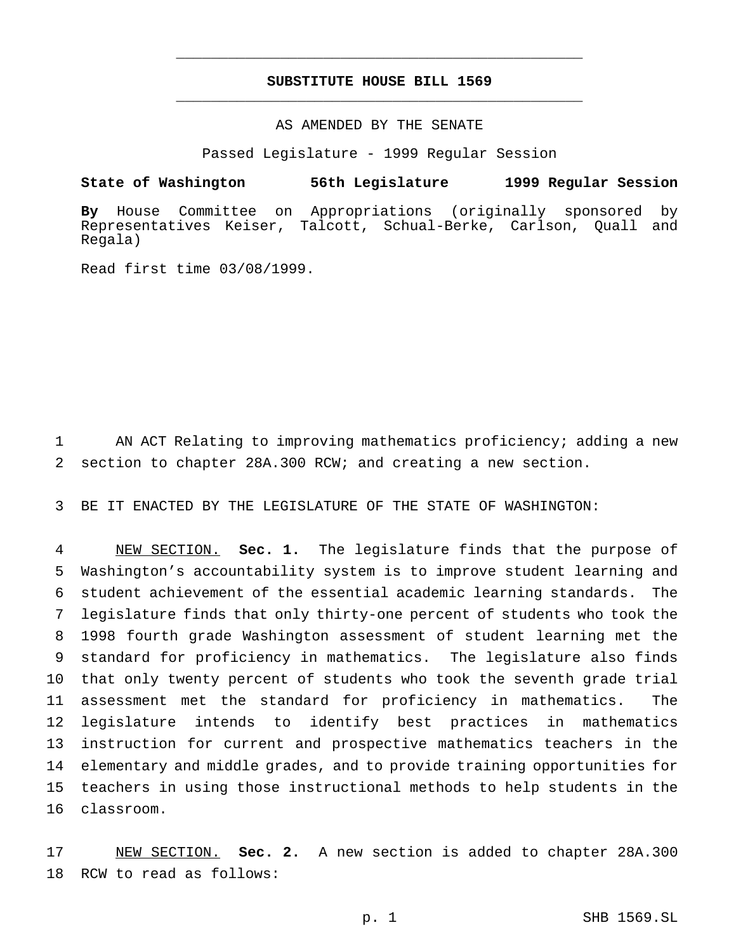## **SUBSTITUTE HOUSE BILL 1569** \_\_\_\_\_\_\_\_\_\_\_\_\_\_\_\_\_\_\_\_\_\_\_\_\_\_\_\_\_\_\_\_\_\_\_\_\_\_\_\_\_\_\_\_\_\_\_

\_\_\_\_\_\_\_\_\_\_\_\_\_\_\_\_\_\_\_\_\_\_\_\_\_\_\_\_\_\_\_\_\_\_\_\_\_\_\_\_\_\_\_\_\_\_\_

### AS AMENDED BY THE SENATE

Passed Legislature - 1999 Regular Session

#### **State of Washington 56th Legislature 1999 Regular Session**

**By** House Committee on Appropriations (originally sponsored by Representatives Keiser, Talcott, Schual-Berke, Carlson, Quall and Regala)

Read first time 03/08/1999.

 AN ACT Relating to improving mathematics proficiency; adding a new section to chapter 28A.300 RCW; and creating a new section.

BE IT ENACTED BY THE LEGISLATURE OF THE STATE OF WASHINGTON:

 NEW SECTION. **Sec. 1.** The legislature finds that the purpose of Washington's accountability system is to improve student learning and student achievement of the essential academic learning standards. The legislature finds that only thirty-one percent of students who took the 1998 fourth grade Washington assessment of student learning met the standard for proficiency in mathematics. The legislature also finds that only twenty percent of students who took the seventh grade trial assessment met the standard for proficiency in mathematics. The legislature intends to identify best practices in mathematics instruction for current and prospective mathematics teachers in the elementary and middle grades, and to provide training opportunities for teachers in using those instructional methods to help students in the classroom.

 NEW SECTION. **Sec. 2.** A new section is added to chapter 28A.300 RCW to read as follows: